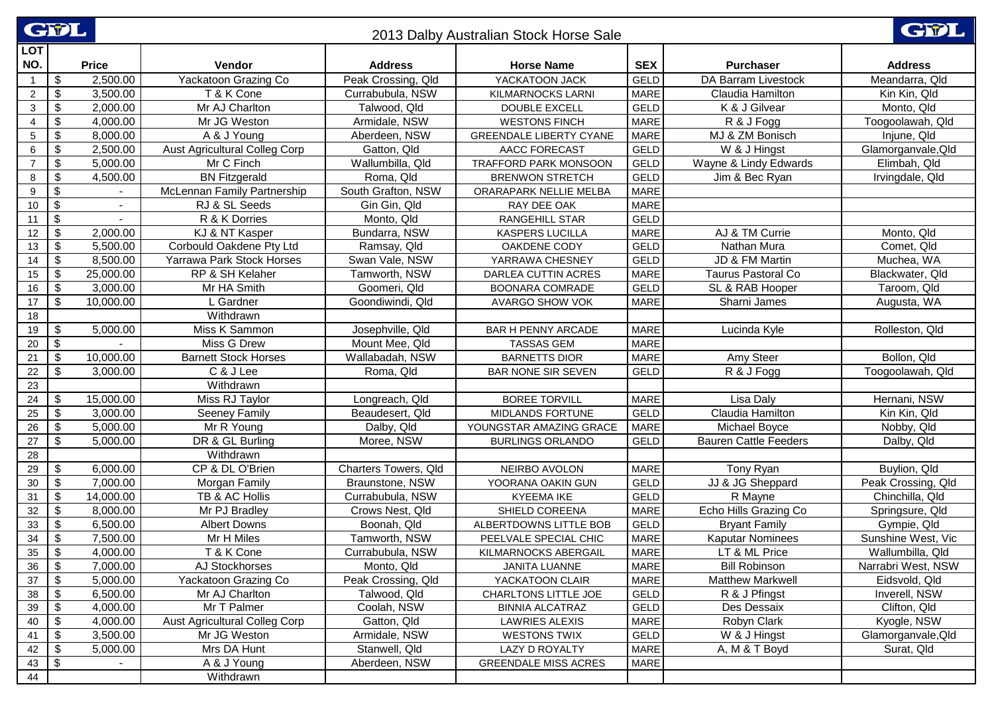|                   | <b>CIPL</b><br>GWL<br>2013 Dalby Australian Stock Horse Sale |                |                                      |                      |                                |             |                              |                    |  |
|-------------------|--------------------------------------------------------------|----------------|--------------------------------------|----------------------|--------------------------------|-------------|------------------------------|--------------------|--|
| <b>LOT</b><br>NO. |                                                              | <b>Price</b>   | Vendor                               | <b>Address</b>       | <b>Horse Name</b>              | <b>SEX</b>  | <b>Purchaser</b>             | <b>Address</b>     |  |
| $\overline{1}$    | $\sqrt[6]{2}$                                                | 2,500.00       | Yackatoon Grazing Co                 | Peak Crossing, Qld   | YACKATOON JACK                 | <b>GELD</b> | DA Barram Livestock          | Meandarra, Qld     |  |
| $\overline{2}$    | $\boldsymbol{\mathsf{S}}$                                    | 3,500.00       | T & K Cone                           | Currabubula, NSW     | KILMARNOCKS LARNI              | <b>MARE</b> | Claudia Hamilton             | Kin Kin, Qld       |  |
| $\mathbf{3}$      | $\boldsymbol{\$}$                                            | 2,000.00       | Mr AJ Charlton                       | Talwood, Qld         | <b>DOUBLE EXCELL</b>           | <b>GELD</b> | K & J Gilvear                | Monto, Qld         |  |
| 4                 | $\boldsymbol{\mathsf{S}}$                                    | 4,000.00       | Mr JG Weston                         | Armidale, NSW        | <b>WESTONS FINCH</b>           | <b>MARE</b> | R & J Fogg                   | Toogoolawah, Qld   |  |
| $5\phantom{.0}$   | $\boldsymbol{\mathsf{S}}$                                    | 8,000.00       | A & J Young                          | Aberdeen, NSW        | <b>GREENDALE LIBERTY CYANE</b> | <b>MARE</b> | MJ & ZM Bonisch              | Injune, Qld        |  |
| 6                 | \$                                                           | 2,500.00       | <b>Aust Agricultural Colleg Corp</b> | Gatton, Qld          | AACC FORECAST                  | <b>GELD</b> | W & J Hingst                 | Glamorganvale, Qld |  |
| $\overline{7}$    | $\boldsymbol{\mathsf{S}}$                                    | 5,000.00       | Mr C Finch                           | Wallumbilla, Qld     | TRAFFORD PARK MONSOON          | GELD        | Wayne & Lindy Edwards        | Elimbah, Qld       |  |
| 8                 | $\boldsymbol{\mathsf{S}}$                                    | 4,500.00       | <b>BN Fitzgerald</b>                 | Roma, Qld            | <b>BRENWON STRETCH</b>         | <b>GELD</b> | Jim & Bec Ryan               | Irvingdale, Qld    |  |
| 9                 | \$                                                           |                | McLennan Family Partnership          | South Grafton, NSW   | ORARAPARK NELLIE MELBA         | <b>MARE</b> |                              |                    |  |
| 10                | $\overline{\mathbf{S}}$                                      | $\blacksquare$ | RJ & SL Seeds                        | Gin Gin, Qld         | RAY DEE OAK                    | <b>MARE</b> |                              |                    |  |
| 11                | $\overline{\mathbf{3}}$                                      |                | R & K Dorries                        | Monto, Qld           | RANGEHILL STAR                 | <b>GELD</b> |                              |                    |  |
| 12                | $\boldsymbol{\$}$                                            | 2,000.00       | KJ & NT Kasper                       | Bundarra, NSW        | KASPERS LUCILLA                | <b>MARE</b> | AJ & TM Currie               | Monto, Qld         |  |
| 13                | $\sqrt[6]{2}$                                                | 5,500.00       | Corbould Oakdene Pty Ltd             | Ramsay, Qld          | OAKDENE CODY                   | <b>GELD</b> | Nathan Mura                  | Comet, Qld         |  |
| 14                | $\sqrt[6]{2}$                                                | 8,500.00       | Yarrawa Park Stock Horses            | Swan Vale, NSW       | YARRAWA CHESNEY                | <b>GELD</b> | JD & FM Martin               | Muchea, WA         |  |
| 15                | $\boldsymbol{\mathsf{S}}$                                    | 25,000.00      | RP & SH Kelaher                      | Tamworth, NSW        | DARLEA CUTTIN ACRES            | <b>MARE</b> | Taurus Pastoral Co           | Blackwater, Qld    |  |
| 16                | \$                                                           | 3,000.00       | Mr HA Smith                          | Goomeri, Qld         | BOONARA COMRADE                | GELD        | SL & RAB Hooper              | Taroom, Qld        |  |
| 17                | $\sqrt[6]{\frac{1}{2}}$                                      | 10,000.00      | L Gardner                            | Goondiwindi, Qld     | <b>AVARGO SHOW VOK</b>         | <b>MARE</b> | Sharni James                 | Augusta, WA        |  |
| 18                |                                                              |                | Withdrawn                            |                      |                                |             |                              |                    |  |
| 19                | $\sqrt[6]{2}$                                                | 5,000.00       | Miss K Sammon                        | Josephville, Qld     | BAR H PENNY ARCADE             | <b>MARE</b> | Lucinda Kyle                 | Rolleston, Qld     |  |
| 20                | \$                                                           |                | Miss G Drew                          | Mount Mee, Qld       | <b>TASSAS GEM</b>              | <b>MARE</b> |                              |                    |  |
| 21                | $\boldsymbol{\mathsf{S}}$                                    | 10,000.00      | <b>Barnett Stock Horses</b>          | Wallabadah, NSW      | <b>BARNETTS DIOR</b>           | <b>MARE</b> | Amy Steer                    | Bollon, Qld        |  |
| 22                | $\sqrt[6]{\frac{1}{2}}$                                      | 3,000.00       | C & J Lee                            | Roma, Qld            | <b>BAR NONE SIR SEVEN</b>      | <b>GELD</b> | R & J Fogg                   | Toogoolawah, Qld   |  |
| 23                |                                                              |                | Withdrawn                            |                      |                                |             |                              |                    |  |
| 24                | \$                                                           | 15,000.00      | Miss RJ Taylor                       | Longreach, Qld       | <b>BOREE TORVILL</b>           | <b>MARE</b> | Lisa Daly                    | Hernani, NSW       |  |
| 25                | $\sqrt[6]{2}$                                                | 3,000.00       | Seeney Family                        | Beaudesert, Qld      | MIDLANDS FORTUNE               | <b>GELD</b> | Claudia Hamilton             | Kin Kin, Qld       |  |
| 26                | $\boldsymbol{\$}$                                            | 5,000.00       | Mr R Young                           | Dalby, Qld           | YOUNGSTAR AMAZING GRACE        | <b>MARE</b> | Michael Boyce                | Nobby, Qld         |  |
| 27                | \$                                                           | 5,000.00       | DR & GL Burling                      | Moree, NSW           | <b>BURLINGS ORLANDO</b>        | <b>GELD</b> | <b>Bauren Cattle Feeders</b> | Dalby, Qld         |  |
| 28                |                                                              |                | Withdrawn                            |                      |                                |             |                              |                    |  |
| 29                | \$                                                           | 6,000.00       | CP & DL O'Brien                      | Charters Towers, Qld | NEIRBO AVOLON                  | MARE        | Tony Ryan                    | Buylion, Qld       |  |
| 30                | $\sqrt[6]{2}$                                                | 7,000.00       | Morgan Family                        | Braunstone, NSW      | YOORANA OAKIN GUN              | <b>GELD</b> | JJ & JG Sheppard             | Peak Crossing, Qld |  |
| 31                | $\sqrt[6]{2}$                                                | 14,000.00      | TB & AC Hollis                       | Currabubula, NSW     | <b>KYEEMA IKE</b>              | GELD        | R Mayne                      | Chinchilla, Qld    |  |
| 32                | $\sqrt[6]{2}$                                                | 8,000.00       | Mr PJ Bradley                        | Crows Nest, Qld      | SHIELD COREENA                 | MARE        | Echo Hills Grazing Co        | Springsure, Qld    |  |
| 33                | $\boldsymbol{\$}$                                            | 6,500.00       | <b>Albert Downs</b>                  | Boonah, Qld          | ALBERTDOWNS LITTLE BOB         | <b>GELD</b> | <b>Bryant Family</b>         | Gympie, Qld        |  |
| 34                | $\sqrt[6]{3}$                                                | 7,500.00       | Mr H Miles                           | Tamworth, NSW        | PEELVALE SPECIAL CHIC          | <b>MARE</b> | <b>Kaputar Nominees</b>      | Sunshine West, Vic |  |
| 35                | \$                                                           | 4,000.00       | T & K Cone                           | Currabubula, NSW     | KILMARNOCKS ABERGAIL           | <b>MARE</b> | LT & ML Price                | Wallumbilla, Qld   |  |
| 36                | \$                                                           | 7,000.00       | AJ Stockhorses                       | Monto, Qld           | JANITA LUANNE                  | MARE        | <b>Bill Robinson</b>         | Narrabri West, NSW |  |
| 37                | \$                                                           | 5,000.00       | Yackatoon Grazing Co                 | Peak Crossing, Qld   | YACKATOON CLAIR                | <b>MARE</b> | <b>Matthew Markwell</b>      | Eidsvold, Qld      |  |
| 38                | \$                                                           | 6,500.00       | Mr AJ Charlton                       | Talwood, Qld         | CHARLTONS LITTLE JOE           | GELD        | R & J Pfingst                | Inverell, NSW      |  |
| 39                | \$                                                           | 4,000.00       | Mr T Palmer                          | Coolah, NSW          | <b>BINNIA ALCATRAZ</b>         | GELD        | Des Dessaix                  | Clifton, Qld       |  |
| 40                | \$                                                           | 4,000.00       | Aust Agricultural Colleg Corp        | Gatton, Qld          | <b>LAWRIES ALEXIS</b>          | <b>MARE</b> | Robyn Clark                  | Kyogle, NSW        |  |
| 41                | $\sqrt[6]{3}$                                                | 3,500.00       | Mr JG Weston                         | Armidale, NSW        | <b>WESTONS TWIX</b>            | GELD        | W & J Hingst                 | Glamorganvale, Qld |  |
| 42                | \$                                                           | 5,000.00       | Mrs DA Hunt                          | Stanwell, Qld        | LAZY D ROYALTY                 | <b>MARE</b> | A, M & T Boyd                | Surat, Qld         |  |
| 43                | $\sqrt[6]{3}$                                                |                | A & J Young                          | Aberdeen, NSW        | <b>GREENDALE MISS ACRES</b>    | <b>MARE</b> |                              |                    |  |
| 44                |                                                              |                | Withdrawn                            |                      |                                |             |                              |                    |  |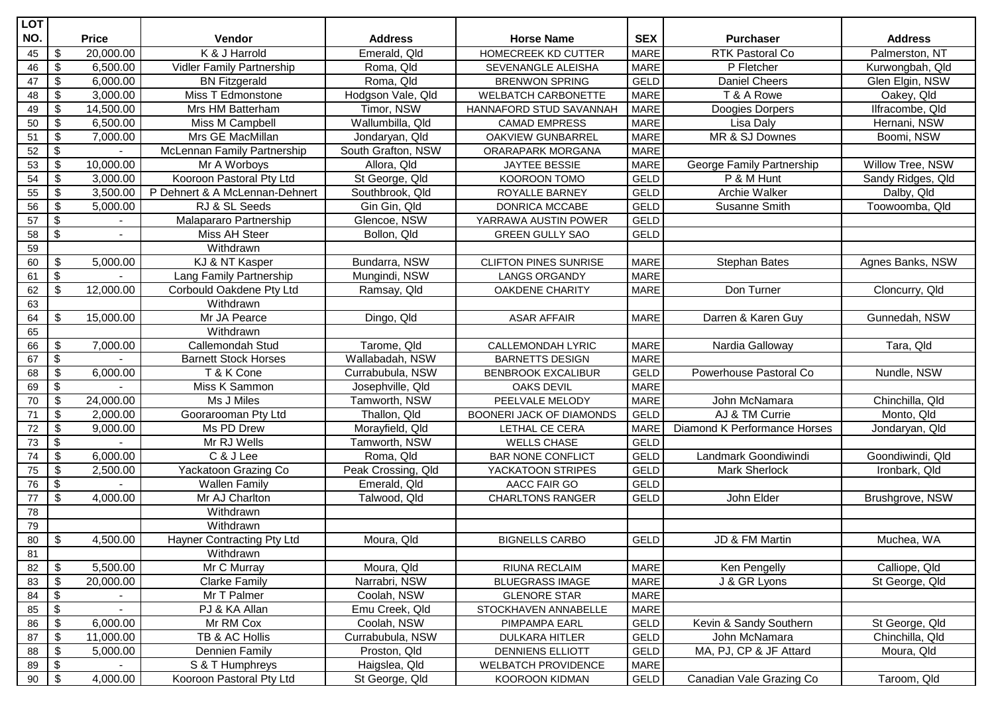| <b>LOT</b>      |                          |              |                                   |                    |                              |             |                              |                   |
|-----------------|--------------------------|--------------|-----------------------------------|--------------------|------------------------------|-------------|------------------------------|-------------------|
| NO.             |                          | <b>Price</b> | Vendor                            | <b>Address</b>     | <b>Horse Name</b>            | <b>SEX</b>  | <b>Purchaser</b>             | <b>Address</b>    |
| 45              | \$                       | 20,000.00    | K & J Harrold                     | Emerald, Qld       | HOMECREEK KD CUTTER          | <b>MARE</b> | <b>RTK Pastoral Co</b>       | Palmerston, NT    |
| 46              | $\sqrt[6]{\frac{1}{2}}$  | 6,500.00     | <b>Vidler Family Partnership</b>  | Roma, Qld          | SEVENANGLE ALEISHA           | <b>MARE</b> | P Fletcher                   | Kurwongbah, Qld   |
| 47              | $\sqrt[6]{\frac{1}{2}}$  | 6,000.00     | <b>BN Fitzgerald</b>              | Roma, Qld          | <b>BRENWON SPRING</b>        | <b>GELD</b> | <b>Daniel Cheers</b>         | Glen Elgin, NSW   |
| 48              | \$                       | 3,000.00     | Miss T Edmonstone                 | Hodgson Vale, Qld  | <b>WELBATCH CARBONETTE</b>   | <b>MARE</b> | T & A Rowe                   | Oakey, Qld        |
| 49              | \$                       | 14,500.00    | Mrs HM Batterham                  | Timor, NSW         | HANNAFORD STUD SAVANNAH      | <b>MARE</b> | Doogies Dorpers              | Ilfracombe, Qld   |
| 50              | \$                       | 6,500.00     | Miss M Campbell                   | Wallumbilla, Qld   | <b>CAMAD EMPRESS</b>         | <b>MARE</b> | Lisa Daly                    | Hernani, NSW      |
| 51              | \$                       | 7,000.00     | Mrs GE MacMillan                  | Jondaryan, Qld     | OAKVIEW GUNBARREL            | <b>MARE</b> | MR & SJ Downes               | Boomi, NSW        |
| 52              | \$                       |              | McLennan Family Partnership       | South Grafton, NSW | ORARAPARK MORGANA            | MARE        |                              |                   |
| 53              | \$                       | 10,000.00    | Mr A Worboys                      | Allora, Qld        | <b>JAYTEE BESSIE</b>         | <b>MARE</b> | George Family Partnership    | Willow Tree, NSW  |
| 54              | \$                       | 3,000.00     | Kooroon Pastoral Pty Ltd          | St George, Qld     | KOOROON TOMO                 | GELD        | P & M Hunt                   | Sandy Ridges, Qld |
| 55              | $\$\$                    | 3,500.00     | P Dehnert & A McLennan-Dehnert    | Southbrook, Qld    | ROYALLE BARNEY               | <b>GELD</b> | Archie Walker                | Dalby, Qld        |
| 56              | \$                       | 5,000.00     | RJ & SL Seeds                     | Gin Gin, Qld       | DONRICA MCCABE               | GELD        | Susanne Smith                | Toowoomba, Qld    |
| 57              | \$                       |              | Malapararo Partnership            | Glencoe, NSW       | YARRAWA AUSTIN POWER         | GELD        |                              |                   |
| 58              | $\overline{\mathcal{E}}$ |              | Miss AH Steer                     | Bollon, Qld        | <b>GREEN GULLY SAO</b>       | <b>GELD</b> |                              |                   |
| 59              |                          |              | Withdrawn                         |                    |                              |             |                              |                   |
| 60              | \$                       | 5,000.00     | KJ & NT Kasper                    | Bundarra, NSW      | <b>CLIFTON PINES SUNRISE</b> | <b>MARE</b> | <b>Stephan Bates</b>         | Agnes Banks, NSW  |
| 61              | $\overline{\mathcal{E}}$ |              | Lang Family Partnership           | Mungindi, NSW      | <b>LANGS ORGANDY</b>         | <b>MARE</b> |                              |                   |
| 62              | $\sqrt[6]{\frac{1}{2}}$  | 12,000.00    | Corbould Oakdene Pty Ltd          | Ramsay, Qld        | OAKDENE CHARITY              | <b>MARE</b> | Don Turner                   | Cloncurry, Qld    |
| 63              |                          |              | Withdrawn                         |                    |                              |             |                              |                   |
| 64              | \$                       | 15,000.00    | Mr JA Pearce                      | Dingo, Qld         | <b>ASAR AFFAIR</b>           | <b>MARE</b> | Darren & Karen Guy           | Gunnedah, NSW     |
| 65              |                          |              | Withdrawn                         |                    |                              |             |                              |                   |
| 66              | \$                       | 7,000.00     | Callemondah Stud                  | Tarome, Qld        | <b>CALLEMONDAH LYRIC</b>     | <b>MARE</b> | Nardia Galloway              | Tara, Qld         |
| 67              | \$                       | $\sim$       | <b>Barnett Stock Horses</b>       | Wallabadah, NSW    | <b>BARNETTS DESIGN</b>       | <b>MARE</b> |                              |                   |
| 68              | $\$\$                    | 6,000.00     | T & K Cone                        | Currabubula, NSW   | <b>BENBROOK EXCALIBUR</b>    | GELD        | Powerhouse Pastoral Co       | Nundle, NSW       |
| 69              | \$                       |              | Miss K Sammon                     | Josephville, Qld   | OAKS DEVIL                   | <b>MARE</b> |                              |                   |
| $70\,$          | \$                       | 24,000.00    | Ms J Miles                        | Tamworth, NSW      | PEELVALE MELODY              | <b>MARE</b> | John McNamara                | Chinchilla, Qld   |
| $71$            | \$                       | 2,000.00     | Goorarooman Pty Ltd               | Thallon, Qld       | BOONERI JACK OF DIAMONDS     | <b>GELD</b> | AJ & TM Currie               | Monto, Qld        |
| $\overline{72}$ | $\overline{\mathcal{G}}$ | 9,000.00     | Ms PD Drew                        | Morayfield, Qld    | LETHAL CE CERA               | <b>MARE</b> | Diamond K Performance Horses | Jondaryan, Qld    |
| $73\,$          | \$                       |              | Mr RJ Wells                       | Tamworth, NSW      | <b>WELLS CHASE</b>           | <b>GELD</b> |                              |                   |
| $74\,$          | \$                       | 6,000.00     | C & J Lee                         | Roma, Qld          | <b>BAR NONE CONFLICT</b>     | <b>GELD</b> | Landmark Goondiwindi         | Goondiwindi, Qld  |
| 75              | \$                       | 2,500.00     | Yackatoon Grazing Co              | Peak Crossing, Qld | YACKATOON STRIPES            | <b>GELD</b> | <b>Mark Sherlock</b>         | Ironbark, Qld     |
| 76              | \$                       |              | <b>Wallen Family</b>              | Emerald, Qld       | AACC FAIR GO                 | <b>GELD</b> |                              |                   |
| 77              | $\sqrt[6]{\frac{1}{2}}$  | 4,000.00     | Mr AJ Charlton                    | Talwood, Qld       | <b>CHARLTONS RANGER</b>      | <b>GELD</b> | John Elder                   | Brushgrove, NSW   |
| 78              |                          |              | Withdrawn                         |                    |                              |             |                              |                   |
| 79              |                          |              | Withdrawn                         |                    |                              |             |                              |                   |
| 80              | $\mathfrak{S}$           | 4,500.00     | <b>Hayner Contracting Pty Ltd</b> | Moura, Qld         | <b>BIGNELLS CARBO</b>        | GELD        | JD & FM Martin               | Muchea, WA        |
| 81              |                          |              | Withdrawn                         |                    |                              |             |                              |                   |
| 82              | \$                       | 5,500.00     | Mr C Murray                       | Moura, Qld         | RIUNA RECLAIM                | MARE        | Ken Pengelly                 | Calliope, Qld     |
| 83              | \$                       | 20,000.00    | <b>Clarke Family</b>              | Narrabri, NSW      | <b>BLUEGRASS IMAGE</b>       | MARE        | J & GR Lyons                 | St George, Qld    |
| 84              | \$                       |              | Mr T Palmer                       | Coolah, NSW        | <b>GLENORE STAR</b>          | <b>MARE</b> |                              |                   |
| 85              | $\overline{\mathcal{E}}$ |              | PJ & KA Allan                     | Emu Creek, Qld     | STOCKHAVEN ANNABELLE         | <b>MARE</b> |                              |                   |
| 86              | \$                       | 6,000.00     | Mr RM Cox                         | Coolah, NSW        | PIMPAMPA EARL                | GELD        | Kevin & Sandy Southern       | St George, Qld    |
| 87              | \$                       | 11,000.00    | TB & AC Hollis                    | Currabubula, NSW   | <b>DULKARA HITLER</b>        | GELD        | John McNamara                | Chinchilla, Qld   |
| 88              | \$                       | 5,000.00     | Dennien Family                    | Proston, Qld       | DENNIENS ELLIOTT             | GELD        | MA, PJ, CP & JF Attard       | Moura, Qld        |
| 89              | \$                       |              | S & T Humphreys                   | Haigslea, Qld      | <b>WELBATCH PROVIDENCE</b>   | MARE        |                              |                   |
| 90              | $\sqrt[6]{2}$            | 4,000.00     | Kooroon Pastoral Pty Ltd          | St George, Qld     | KOOROON KIDMAN               | GELD        | Canadian Vale Grazing Co     | Taroom, Qld       |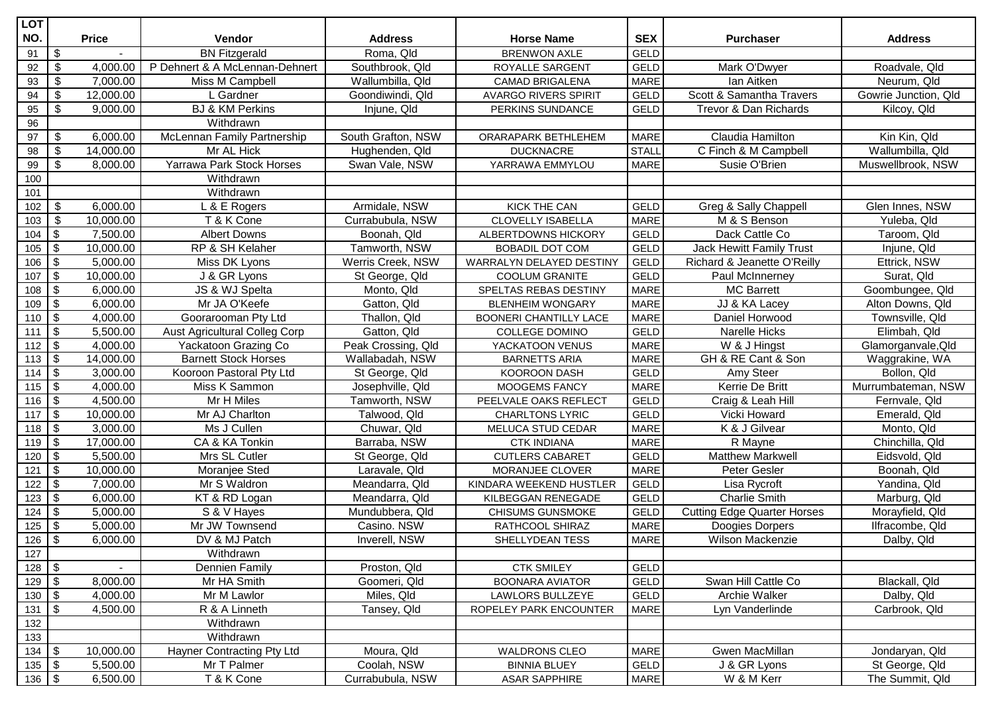| <b>LOT</b>          |                           |              |                                      |                    |                               |              |                                    |                      |
|---------------------|---------------------------|--------------|--------------------------------------|--------------------|-------------------------------|--------------|------------------------------------|----------------------|
| NO.                 |                           | <b>Price</b> | <b>Vendor</b>                        | <b>Address</b>     | <b>Horse Name</b>             | <b>SEX</b>   | <b>Purchaser</b>                   | <b>Address</b>       |
| 91                  | \$                        |              | <b>BN Fitzgerald</b>                 | Roma, Qld          | <b>BRENWON AXLE</b>           | <b>GELD</b>  |                                    |                      |
| 92                  | \$                        | 4,000.00     | P Dehnert & A McLennan-Dehnert       | Southbrook, Qld    | ROYALLE SARGENT               | <b>GELD</b>  | Mark O'Dwyer                       | Roadvale, Qld        |
| 93                  | \$                        | 7,000.00     | Miss M Campbell                      | Wallumbilla, Qld   | CAMAD BRIGALENA               | <b>MARE</b>  | lan Aitken                         | Neurum, Qld          |
| 94                  | \$                        | 12,000.00    | L Gardner                            | Goondiwindi, Qld   | <b>AVARGO RIVERS SPIRIT</b>   | GELD         | Scott & Samantha Travers           | Gowrie Junction, Qld |
| 95                  | \$                        | 9,000.00     | <b>BJ &amp; KM Perkins</b>           | Injune, Qld        | PERKINS SUNDANCE              | <b>GELD</b>  | Trevor & Dan Richards              | Kilcoy, Qld          |
| 96                  |                           |              | Withdrawn                            |                    |                               |              |                                    |                      |
| 97                  | \$                        | 6,000.00     | McLennan Family Partnership          | South Grafton, NSW | ORARAPARK BETHLEHEM           | <b>MARE</b>  | Claudia Hamilton                   | Kin Kin, Qld         |
| 98                  | \$                        | 14,000.00    | Mr AL Hick                           | Hughenden, Qld     | <b>DUCKNACRE</b>              | <b>STALL</b> | C Finch & M Campbell               | Wallumbilla, Qld     |
| 99                  | \$                        | 8,000.00     | Yarrawa Park Stock Horses            | Swan Vale, NSW     | YARRAWA EMMYLOU               | <b>MARE</b>  | Susie O'Brien                      | Muswellbrook, NSW    |
| 100                 |                           |              | Withdrawn                            |                    |                               |              |                                    |                      |
| 101                 |                           |              | Withdrawn                            |                    |                               |              |                                    |                      |
| 102                 | \$                        | 6,000.00     | L & E Rogers                         | Armidale, NSW      | <b>KICK THE CAN</b>           | <b>GELD</b>  | Greg & Sally Chappell              | Glen Innes, NSW      |
| 103                 | \$                        | 10,000.00    | T & K Cone                           | Currabubula, NSW   | CLOVELLY ISABELLA             | <b>MARE</b>  | M & S Benson                       | Yuleba, Qld          |
| 104                 | \$                        | 7,500.00     | <b>Albert Downs</b>                  | Boonah, Qld        | ALBERTDOWNS HICKORY           | <b>GELD</b>  | Dack Cattle Co                     | Taroom, Qld          |
| 105                 | $\$\$                     | 10,000.00    | RP & SH Kelaher                      | Tamworth, NSW      | <b>BOBADIL DOT COM</b>        | <b>GELD</b>  | Jack Hewitt Family Trust           | Injune, Qld          |
| 106                 | \$                        | 5,000.00     | Miss DK Lyons                        | Werris Creek, NSW  | WARRALYN DELAYED DESTINY      | <b>GELD</b>  | Richard & Jeanette O'Reilly        | Ettrick, NSW         |
| 107                 | $\boldsymbol{\mathsf{S}}$ | 10,000.00    | J & GR Lyons                         | St George, Qld     | <b>COOLUM GRANITE</b>         | <b>GELD</b>  | Paul McInnerney                    | Surat, Qld           |
| 108                 | $\$\$                     | 6,000.00     | JS & WJ Spelta                       | Monto, Qld         | SPELTAS REBAS DESTINY         | <b>MARE</b>  | <b>MC Barrett</b>                  | Goombungee, Qld      |
| 109                 | $\boldsymbol{\mathsf{S}}$ | 6,000.00     | Mr JA O'Keefe                        | Gatton, Qld        | <b>BLENHEIM WONGARY</b>       | <b>MARE</b>  | JJ & KA Lacey                      | Alton Downs, Qld     |
| 110                 | $\sqrt[6]{\frac{1}{2}}$   | 4,000.00     | Goorarooman Pty Ltd                  | Thallon, Qld       | <b>BOONERI CHANTILLY LACE</b> | <b>MARE</b>  | Daniel Horwood                     | Townsville, Qld      |
| 111                 | $\boldsymbol{\mathsf{S}}$ | 5,500.00     | <b>Aust Agricultural Colleg Corp</b> | Gatton, Qld        | <b>COLLEGE DOMINO</b>         | <b>GELD</b>  | Narelle Hicks                      | Elimbah, Qld         |
| 112                 | $\boldsymbol{\mathsf{S}}$ | 4,000.00     | Yackatoon Grazing Co                 | Peak Crossing, Qld | YACKATOON VENUS               | <b>MARE</b>  | W & J Hingst                       | Glamorganvale, Qld   |
| 113                 | $\boldsymbol{\mathsf{S}}$ | 14,000.00    | <b>Barnett Stock Horses</b>          | Wallabadah, NSW    | <b>BARNETTS ARIA</b>          | <b>MARE</b>  | GH & RE Cant & Son                 | Waggrakine, WA       |
| 114                 | $\sqrt[6]{\frac{1}{2}}$   | 3,000.00     | Kooroon Pastoral Pty Ltd             | St George, Qld     | KOOROON DASH                  | <b>GELD</b>  | Amy Steer                          | Bollon, Qld          |
| 115                 | $\boldsymbol{\mathsf{S}}$ | 4,000.00     | Miss K Sammon                        | Josephville, Qld   | MOOGEMS FANCY                 | <b>MARE</b>  | Kerrie De Britt                    | Murrumbateman, NSW   |
| 116                 | $\boldsymbol{\mathsf{S}}$ | 4,500.00     | Mr H Miles                           | Tamworth, NSW      | PEELVALE OAKS REFLECT         | <b>GELD</b>  | Craig & Leah Hill                  | Fernvale, Qld        |
| 117                 | \$                        | 10,000.00    | Mr AJ Charlton                       | Talwood, Qld       | <b>CHARLTONS LYRIC</b>        | <b>GELD</b>  | Vicki Howard                       | Emerald, Qld         |
| 118                 | $\sqrt[6]{\frac{1}{2}}$   | 3,000.00     | Ms J Cullen                          | Chuwar, Qld        | MELUCA STUD CEDAR             | <b>MARE</b>  | K & J Gilvear                      | Monto, Qld           |
| 119                 | $\boldsymbol{\mathsf{S}}$ | 17,000.00    | CA & KA Tonkin                       | Barraba, NSW       | <b>CTK INDIANA</b>            | <b>MARE</b>  | R Mayne                            | Chinchilla, Qld      |
| 120                 | $\sqrt[6]{\frac{1}{2}}$   | 5,500.00     | Mrs SL Cutler                        | St George, Qld     | <b>CUTLERS CABARET</b>        | <b>GELD</b>  | <b>Matthew Markwell</b>            | Eidsvold, Qld        |
| 121                 | $\sqrt[6]{\frac{1}{2}}$   | 10,000.00    | Moranjee Sted                        | Laravale, Qld      | MORANJEE CLOVER               | <b>MARE</b>  | Peter Gesler                       | Boonah, Qld          |
| 122                 | $\boldsymbol{\mathsf{S}}$ | 7,000.00     | Mr S Waldron                         | Meandarra, Qld     | KINDARA WEEKEND HUSTLER       | <b>GELD</b>  | Lisa Rycroft                       | Yandina, Qld         |
| 123                 | $\boldsymbol{\mathsf{S}}$ | 6,000.00     | KT & RD Logan                        | Meandarra, Qld     | KILBEGGAN RENEGADE            | GELD         | <b>Charlie Smith</b>               | Marburg, Qld         |
| 124                 | $\boldsymbol{\mathsf{S}}$ | 5,000.00     | S & V Hayes                          | Mundubbera, Qld    | CHISUMS GUNSMOKE              | <b>GELD</b>  | <b>Cutting Edge Quarter Horses</b> | Morayfield, Qld      |
| 125                 | $\sqrt[6]{\frac{1}{2}}$   | 5,000.00     | Mr JW Townsend                       | Casino. NSW        | RATHCOOL SHIRAZ               | <b>MARE</b>  | Doogies Dorpers                    | Ilfracombe, Qld      |
| $126$ \$            |                           | 6,000.00     | DV & MJ Patch                        | Inverell, NSW      | SHELLYDEAN TESS               | <b>MARE</b>  | <b>Wilson Mackenzie</b>            | Dalby, Qld           |
| 127                 |                           |              | Withdrawn                            |                    |                               |              |                                    |                      |
| 128                 | \$                        |              | <b>Dennien Family</b>                | Proston, Qld       | <b>CTK SMILEY</b>             | <b>GELD</b>  |                                    |                      |
| 129                 | $\mathfrak s$             | 8,000.00     | Mr HA Smith                          | Goomeri, Qld       | <b>BOONARA AVIATOR</b>        | GELD         | Swan Hill Cattle Co                | Blackall, Qld        |
| 130                 | $\mathfrak{S}$            | 4,000.00     | Mr M Lawlor                          | Miles, Qld         | <b>LAWLORS BULLZEYE</b>       | GELD         | Archie Walker                      | Dalby, Qld           |
| 131                 | $\mathfrak{S}$            | 4,500.00     | R & A Linneth                        | Tansey, Qld        | ROPELEY PARK ENCOUNTER        | <b>MARE</b>  | Lyn Vanderlinde                    | Carbrook, Qld        |
| 132                 |                           |              | Withdrawn                            |                    |                               |              |                                    |                      |
| 133                 |                           |              | Withdrawn                            |                    |                               |              |                                    |                      |
| $134 \overline{\$}$ |                           | 10,000.00    | Hayner Contracting Pty Ltd           | Moura, Qld         | <b>WALDRONS CLEO</b>          | <b>MARE</b>  | Gwen MacMillan                     | Jondaryan, Qld       |
| $135 \, \sqrt{5}$   |                           | 5,500.00     | Mr T Palmer                          | Coolah, NSW        | <b>BINNIA BLUEY</b>           | GELD         | J & GR Lyons                       | St George, Qld       |
| $136$ \$            |                           | 6,500.00     | T & K Cone                           | Currabubula, NSW   | <b>ASAR SAPPHIRE</b>          | <b>MARE</b>  | W & M Kerr                         | The Summit, Qld      |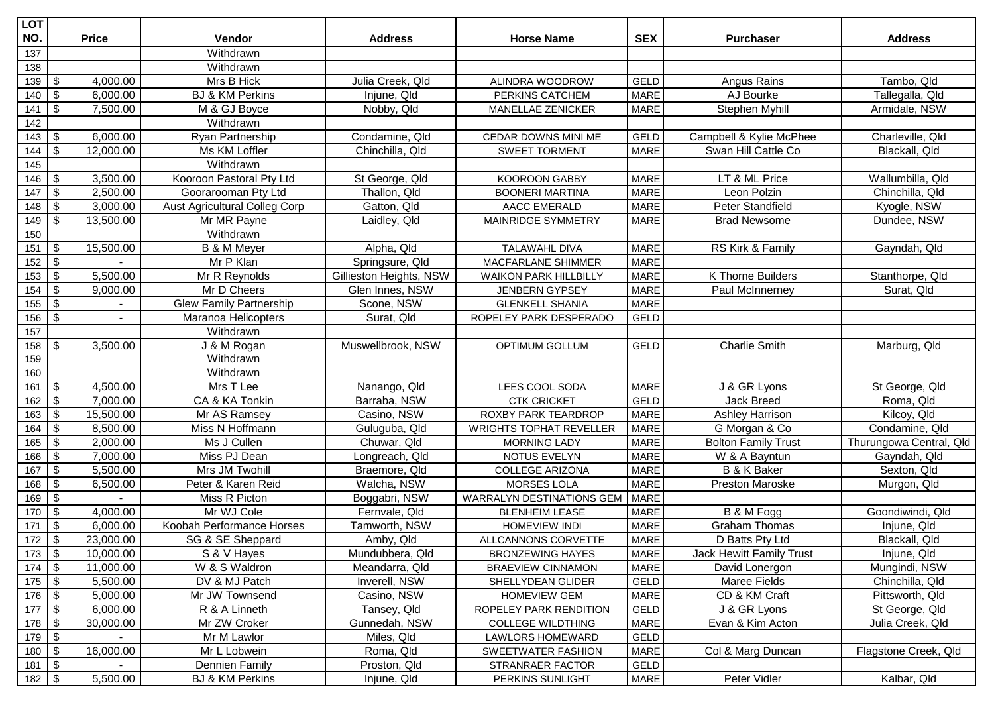| <b>LOT</b>                  |                           |                |                               |                         |                                  |             |                            |                         |
|-----------------------------|---------------------------|----------------|-------------------------------|-------------------------|----------------------------------|-------------|----------------------------|-------------------------|
| NO.                         |                           | <b>Price</b>   | <b>Vendor</b>                 | <b>Address</b>          | <b>Horse Name</b>                | <b>SEX</b>  | <b>Purchaser</b>           | <b>Address</b>          |
| 137                         |                           |                | Withdrawn                     |                         |                                  |             |                            |                         |
| 138                         |                           |                | Withdrawn                     |                         |                                  |             |                            |                         |
| 139                         | \$                        | 4,000.00       | Mrs B Hick                    | Julia Creek, Qld        | ALINDRA WOODROW                  | <b>GELD</b> | Angus Rains                | Tambo, Qld              |
| 140                         | \$                        | 6,000.00       | <b>BJ &amp; KM Perkins</b>    | Injune, Qld             | PERKINS CATCHEM                  | <b>MARE</b> | AJ Bourke                  | Tallegalla, Qld         |
| 141                         | \$                        | 7,500.00       | M & GJ Boyce                  | Nobby, Qld              | MANELLAE ZENICKER                | <b>MARE</b> | Stephen Myhill             | Armidale, NSW           |
| 142                         |                           |                | Withdrawn                     |                         |                                  |             |                            |                         |
| 143                         | \$                        | 6,000.00       | Ryan Partnership              | Condamine, Qld          | CEDAR DOWNS MINI ME              | <b>GELD</b> | Campbell & Kylie McPhee    | Charleville, Qld        |
| 144                         | \$                        | 12,000.00      | Ms KM Loffler                 | Chinchilla, Qld         | <b>SWEET TORMENT</b>             | <b>MARE</b> | Swan Hill Cattle Co        | Blackall, Qld           |
| 145                         |                           |                | Withdrawn                     |                         |                                  |             |                            |                         |
| 146                         | \$                        | 3,500.00       | Kooroon Pastoral Pty Ltd      | St George, Qld          | <b>KOOROON GABBY</b>             | <b>MARE</b> | LT & ML Price              | Wallumbilla, Qld        |
| 147                         | \$                        | 2,500.00       | Goorarooman Pty Ltd           | Thallon, Qld            | <b>BOONERI MARTINA</b>           | <b>MARE</b> | Leon Polzin                | Chinchilla, Qld         |
| 148                         | \$                        | 3,000.00       | Aust Agricultural Colleg Corp | Gatton, Qld             | AACC EMERALD                     | <b>MARE</b> | Peter Standfield           | Kyogle, NSW             |
| 149                         | \$                        | 13,500.00      | Mr MR Payne                   | Laidley, Qld            | MAINRIDGE SYMMETRY               | <b>MARE</b> | <b>Brad Newsome</b>        | Dundee, NSW             |
| 150                         |                           |                | Withdrawn                     |                         |                                  |             |                            |                         |
| 151                         | \$                        | 15,500.00      | <b>B</b> & M Meyer            | Alpha, Qld              | <b>TALAWAHL DIVA</b>             | <b>MARE</b> | RS Kirk & Family           | Gayndah, Qld            |
| 152                         | $\sqrt[6]{\frac{1}{2}}$   |                | Mr P Klan                     | Springsure, Qld         | MACFARLANE SHIMMER               | <b>MARE</b> |                            |                         |
| 153                         | $\boldsymbol{\mathsf{S}}$ | 5,500.00       | Mr R Reynolds                 | Gillieston Heights, NSW | <b>WAIKON PARK HILLBILLY</b>     | <b>MARE</b> | K Thorne Builders          | Stanthorpe, Qld         |
| 154                         | \$                        | 9,000.00       | Mr D Cheers                   | Glen Innes, NSW         | <b>JENBERN GYPSEY</b>            | <b>MARE</b> | Paul McInnerney            | Surat, Qld              |
| 155                         | $\sqrt[6]{2}$             |                | Glew Family Partnership       | Scone, NSW              | <b>GLENKELL SHANIA</b>           | <b>MARE</b> |                            |                         |
| 156                         | $\boldsymbol{\mathsf{S}}$ | $\overline{a}$ | Maranoa Helicopters           | Surat, Qld              | ROPELEY PARK DESPERADO           | <b>GELD</b> |                            |                         |
| 157                         |                           |                | Withdrawn                     |                         |                                  |             |                            |                         |
| 158                         | \$                        | 3,500.00       | J & M Rogan                   | Muswellbrook, NSW       | OPTIMUM GOLLUM                   | GELD        | <b>Charlie Smith</b>       | Marburg, Qld            |
| 159                         |                           |                | Withdrawn                     |                         |                                  |             |                            |                         |
| 160                         |                           |                | Withdrawn                     |                         |                                  |             |                            |                         |
| 161                         | \$                        | 4,500.00       | Mrs T Lee                     | Nanango, Qld            | LEES COOL SODA                   | <b>MARE</b> | J & GR Lyons               | St George, Qld          |
| 162                         | \$                        | 7,000.00       | CA & KA Tonkin                | Barraba, NSW            | <b>CTK CRICKET</b>               | <b>GELD</b> | Jack Breed                 | Roma, Qld               |
| 163                         | $\boldsymbol{\mathsf{S}}$ | 15,500.00      | Mr AS Ramsey                  | Casino, NSW             | ROXBY PARK TEARDROP              | <b>MARE</b> | Ashley Harrison            | Kilcoy, Qld             |
| 164                         | \$                        | 8,500.00       | Miss N Hoffmann               | Guluguba, Qld           | <b>WRIGHTS TOPHAT REVELLER</b>   | <b>MARE</b> | G Morgan & Co              | Condamine, Qld          |
| 165                         | \$                        | 2,000.00       | Ms J Cullen                   | Chuwar, Qld             | <b>MORNING LADY</b>              | <b>MARE</b> | <b>Bolton Family Trust</b> | Thurungowa Central, Qld |
| 166                         | \$                        | 7,000.00       | Miss PJ Dean                  | Longreach, Qld          | NOTUS EVELYN                     | <b>MARE</b> | W & A Bayntun              | Gayndah, Qld            |
| 167                         | $\$\$                     | 5,500.00       | Mrs JM Twohill                | Braemore, Qld           | <b>COLLEGE ARIZONA</b>           | <b>MARE</b> | <b>B &amp; K Baker</b>     | Sexton, Qld             |
| 168                         | $\boldsymbol{\mathsf{S}}$ | 6,500.00       | Peter & Karen Reid            | Walcha, NSW             | <b>MORSES LOLA</b>               | <b>MARE</b> | Preston Maroske            | Murgon, Qld             |
| 169                         | \$                        |                | Miss R Picton                 | Boggabri, NSW           | <b>WARRALYN DESTINATIONS GEM</b> | <b>MARE</b> |                            |                         |
| 170                         | $\boldsymbol{\mathsf{S}}$ | 4,000.00       | Mr WJ Cole                    | Fernvale, Qld           | <b>BLENHEIM LEASE</b>            | <b>MARE</b> | B & M Fogg                 | Goondiwindi, Qld        |
| 171                         | \$                        | 6,000.00       | Koobah Performance Horses     | Tamworth, NSW           | <b>HOMEVIEW INDI</b>             | <b>MARE</b> | <b>Graham Thomas</b>       | Injune, Qld             |
| 172                         | $\frac{1}{2}$             | 23,000.00      | SG & SE Sheppard              | Amby, Qld               | ALLCANNONS CORVETTE              | <b>MARE</b> | D Batts Pty Ltd            | Blackall, Qld           |
| $173$ \$                    |                           | 10,000.00      | S & V Hayes                   | Mundubbera, Qld         | <b>BRONZEWING HAYES</b>          | <b>MARE</b> | Jack Hewitt Family Trust   | Injune, Qld             |
| $174 \overline{\$}$         |                           | 11,000.00      | W & S Waldron                 | Meandarra, Qld          | <b>BRAEVIEW CINNAMON</b>         | MARE        | David Lonergon             | Mungindi, NSW           |
| $175 \overline{\text{I}}$   |                           | 5,500.00       | DV & MJ Patch                 | Inverell, NSW           | SHELLYDEAN GLIDER                | GELD        | Maree Fields               | Chinchilla, Qld         |
| $176 \overline{\$}$         |                           | 5,000.00       | Mr JW Townsend                | Casino, NSW             | HOMEVIEW GEM                     | <b>MARE</b> | CD & KM Craft              | Pittsworth, Qld         |
| $177 \overline{\$}$         |                           | 6,000.00       | R & A Linneth                 | Tansey, Qld             | ROPELEY PARK RENDITION           | GELD        | J & GR Lyons               | St George, Qld          |
| $178$ \$                    |                           | 30,000.00      | Mr ZW Croker                  | Gunnedah, NSW           | <b>COLLEGE WILDTHING</b>         | <b>MARE</b> | Evan & Kim Acton           | Julia Creek, Qld        |
| $179$ $\overline{\$}$       |                           |                | Mr M Lawlor                   | Miles, Qld              | LAWLORS HOMEWARD                 | GELD        |                            |                         |
| $180 \overline{\text{S}}$   |                           | 16,000.00      | Mr L Lobwein                  | Roma, Qld               | SWEETWATER FASHION               | <b>MARE</b> | Col & Marg Duncan          | Flagstone Creek, Qld    |
| $181$ $\overline{\sqrt{5}}$ |                           |                | <b>Dennien Family</b>         | Proston, Qld            | STRANRAER FACTOR                 | GELD        |                            |                         |
| $182 \overline{3}$          |                           | 5,500.00       | <b>BJ &amp; KM Perkins</b>    | Injune, Qld             | PERKINS SUNLIGHT                 | <b>MARE</b> | Peter Vidler               | Kalbar, Qld             |